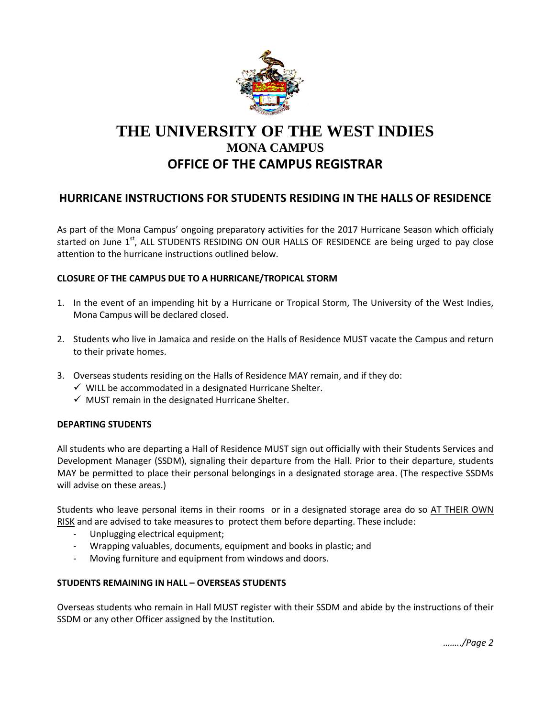

# **THE UNIVERSITY OF THE WEST INDIES MONA CAMPUS OFFICE OF THE CAMPUS REGISTRAR**

## **HURRICANE INSTRUCTIONS FOR STUDENTS RESIDING IN THE HALLS OF RESIDENCE**

As part of the Mona Campus' ongoing preparatory activities for the 2017 Hurricane Season which officialy started on June  $1<sup>st</sup>$ , ALL STUDENTS RESIDING ON OUR HALLS OF RESIDENCE are being urged to pay close attention to the hurricane instructions outlined below.

### **CLOSURE OF THE CAMPUS DUE TO A HURRICANE/TROPICAL STORM**

- 1. In the event of an impending hit by a Hurricane or Tropical Storm, The University of the West Indies, Mona Campus will be declared closed.
- 2. Students who live in Jamaica and reside on the Halls of Residence MUST vacate the Campus and return to their private homes.
- 3. Overseas students residing on the Halls of Residence MAY remain, and if they do:
	- $\checkmark$  WILL be accommodated in a designated Hurricane Shelter.
	- $\checkmark$  MUST remain in the designated Hurricane Shelter.

#### **DEPARTING STUDENTS**

All students who are departing a Hall of Residence MUST sign out officially with their Students Services and Development Manager (SSDM), signaling their departure from the Hall. Prior to their departure, students MAY be permitted to place their personal belongings in a designated storage area. (The respective SSDMs will advise on these areas.)

Students who leave personal items in their rooms or in a designated storage area do so AT THEIR OWN RISK and are advised to take measures to protect them before departing. These include:

- Unplugging electrical equipment;
- Wrapping valuables, documents, equipment and books in plastic; and
- Moving furniture and equipment from windows and doors.

#### **STUDENTS REMAINING IN HALL – OVERSEAS STUDENTS**

Overseas students who remain in Hall MUST register with their SSDM and abide by the instructions of their SSDM or any other Officer assigned by the Institution.

*……../Page 2*